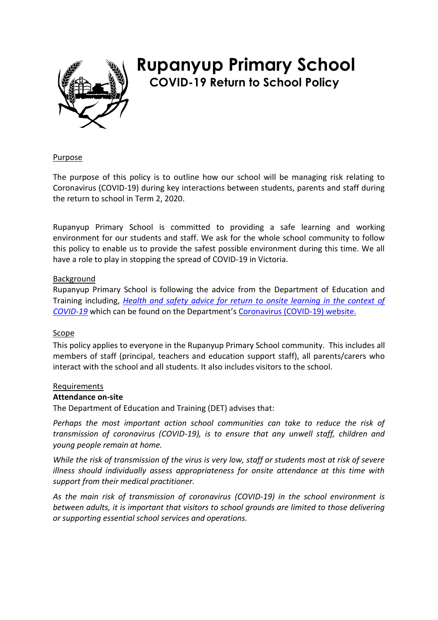

# **Rupanyup Primary School COVID-19 Return to School Policy**

#### Purpose

The purpose of this policy is to outline how our school will be managing risk relating to Coronavirus (COVID-19) during key interactions between students, parents and staff during the return to school in Term 2, 2020.

Rupanyup Primary School is committed to providing a safe learning and working environment for our students and staff. We ask for the whole school community to follow this policy to enable us to provide the safest possible environment during this time. We all have a role to play in stopping the spread of COVID-19 in Victoria.

#### Background

Rupanyup Primary School is following the advice from the Department of Education and Training including, *[Health and safety advice for return to onsite learning in the context of](https://www.education.vic.gov.au/Documents/about/department/covid-19/health-and-safety-advice-return-school.pdf)  [COVID-19](https://www.education.vic.gov.au/Documents/about/department/covid-19/health-and-safety-advice-return-school.pdf)* which can be found on the Department's Coronavirus (COVID-19) website.

#### Scope

This policy applies to everyone in the Rupanyup Primary School community. This includes all members of staff (principal, teachers and education support staff), all parents/carers who interact with the school and all students. It also includes visitors to the school.

#### **Requirements**

#### **Attendance on-site**

The Department of Education and Training (DET) advises that:

*Perhaps the most important action school communities can take to reduce the risk of transmission of coronavirus (COVID-19), is to ensure that any unwell staff, children and young people remain at home.* 

*While the risk of transmission of the virus is very low, staff or students most at risk of severe illness should individually assess appropriateness for onsite attendance at this time with support from their medical practitioner.* 

*As the main risk of transmission of coronavirus (COVID-19) in the school environment is between adults, it is important that visitors to school grounds are limited to those delivering or supporting essential school services and operations.*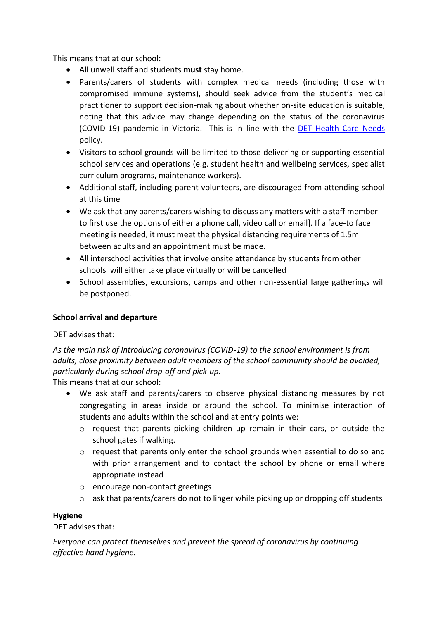This means that at our school:

- All unwell staff and students **must** stay home.
- Parents/carers of students with complex medical needs (including those with compromised immune systems), should seek advice from the student's medical practitioner to support decision-making about whether on-site education is suitable, noting that this advice may change depending on the status of the coronavirus (COVID-19) pandemic in Victoria. This is in line with the [DET Health Care Needs](https://www.education.vic.gov.au/school/principals/spag/health/Pages/healthcareneeds.aspx) policy.
- Visitors to school grounds will be limited to those delivering or supporting essential school services and operations (e.g. student health and wellbeing services, specialist curriculum programs, maintenance workers).
- Additional staff, including parent volunteers, are discouraged from attending school at this time
- We ask that any parents/carers wishing to discuss any matters with a staff member to first use the options of either a phone call, video call or email]. If a face-to face meeting is needed, it must meet the physical distancing requirements of 1.5m between adults and an appointment must be made.
- All interschool activities that involve onsite attendance by students from other schools will either take place virtually or will be cancelled
- School assemblies, excursions, camps and other non-essential large gatherings will be postponed.

## **School arrival and departure**

#### DET advises that:

*As the main risk of introducing coronavirus (COVID-19) to the school environment is from adults, close proximity between adult members of the school community should be avoided, particularly during school drop-off and pick-up.* 

This means that at our school:

- We ask staff and parents/carers to observe physical distancing measures by not congregating in areas inside or around the school. To minimise interaction of students and adults within the school and at entry points we:
	- o request that parents picking children up remain in their cars, or outside the school gates if walking.
	- $\circ$  request that parents only enter the school grounds when essential to do so and with prior arrangement and to contact the school by phone or email where appropriate instead
	- o encourage non-contact greetings
	- o ask that parents/carers do not to linger while picking up or dropping off students

## **Hygiene**

#### DET advises that:

*Everyone can protect themselves and prevent the spread of coronavirus by continuing effective hand hygiene.*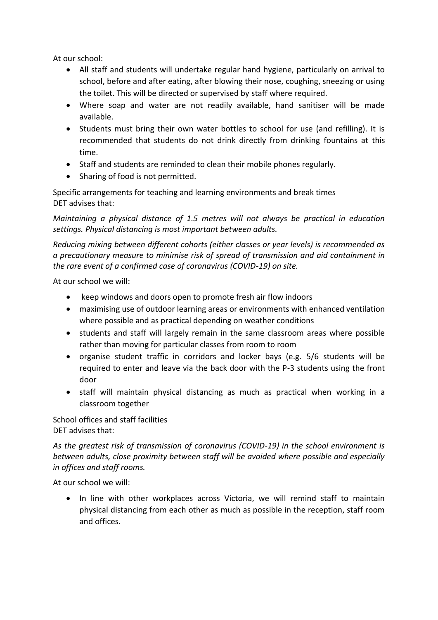At our school:

- All staff and students will undertake regular hand hygiene, particularly on arrival to school, before and after eating, after blowing their nose, coughing, sneezing or using the toilet. This will be directed or supervised by staff where required.
- Where soap and water are not readily available, hand sanitiser will be made available.
- Students must bring their own water bottles to school for use (and refilling). It is recommended that students do not drink directly from drinking fountains at this time.
- Staff and students are reminded to clean their mobile phones regularly.
- Sharing of food is not permitted.

Specific arrangements for teaching and learning environments and break times DET advises that:

*Maintaining a physical distance of 1.5 metres will not always be practical in education settings. Physical distancing is most important between adults.* 

*Reducing mixing between different cohorts (either classes or year levels) is recommended as a precautionary measure to minimise risk of spread of transmission and aid containment in the rare event of a confirmed case of coronavirus (COVID-19) on site.* 

At our school we will:

- keep windows and doors open to promote fresh air flow indoors
- maximising use of outdoor learning areas or environments with enhanced ventilation where possible and as practical depending on weather conditions
- students and staff will largely remain in the same classroom areas where possible rather than moving for particular classes from room to room
- organise student traffic in corridors and locker bays (e.g. 5/6 students will be required to enter and leave via the back door with the P-3 students using the front door
- staff will maintain physical distancing as much as practical when working in a classroom together

School offices and staff facilities DET advises that:

*As the greatest risk of transmission of coronavirus (COVID-19) in the school environment is between adults, close proximity between staff will be avoided where possible and especially in offices and staff rooms.* 

At our school we will:

• In line with other workplaces across Victoria, we will remind staff to maintain physical distancing from each other as much as possible in the reception, staff room and offices.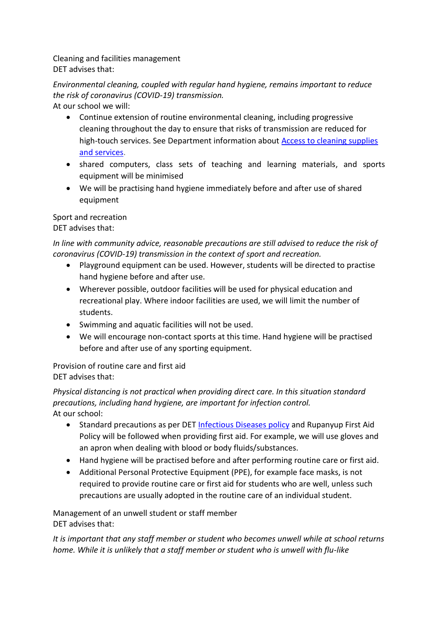Cleaning and facilities management DET advises that:

*Environmental cleaning, coupled with regular hand hygiene, remains important to reduce the risk of coronavirus (COVID-19) transmission.* 

At our school we will:

- Continue extension of routine environmental cleaning, including progressive cleaning throughout the day to ensure that risks of transmission are reduced for high-touch services. See Department information about **Access to cleaning supplies** [and services.](https://www.education.vic.gov.au/school/teachers/management/infrastructure/Pages/cleaningsupplies.aspx)
- shared computers, class sets of teaching and learning materials, and sports equipment will be minimised
- We will be practising hand hygiene immediately before and after use of shared equipment

#### Sport and recreation DET advises that:

*In line with community advice, reasonable precautions are still advised to reduce the risk of coronavirus (COVID-19) transmission in the context of sport and recreation.* 

- Playground equipment can be used. However, students will be directed to practise hand hygiene before and after use.
- Wherever possible, outdoor facilities will be used for physical education and recreational play. Where indoor facilities are used, we will limit the number of students.
- Swimming and aquatic facilities will not be used.
- We will encourage non-contact sports at this time. Hand hygiene will be practised before and after use of any sporting equipment.

Provision of routine care and first aid DET advises that:

*Physical distancing is not practical when providing direct care. In this situation standard precautions, including hand hygiene, are important for infection control.*  At our school:

- Standard precautions as per DET [Infectious Diseases policy](https://www.education.vic.gov.au/school/principals/spag/health/pages/infectiousdiseases.aspx) and Rupanyup First Aid Policy will be followed when providing first aid. For example, we will use gloves and an apron when dealing with blood or body fluids/substances.
- Hand hygiene will be practised before and after performing routine care or first aid.
- Additional Personal Protective Equipment (PPE), for example face masks, is not required to provide routine care or first aid for students who are well, unless such precautions are usually adopted in the routine care of an individual student.

Management of an unwell student or staff member DET advises that:

*It is important that any staff member or student who becomes unwell while at school returns home. While it is unlikely that a staff member or student who is unwell with flu-like*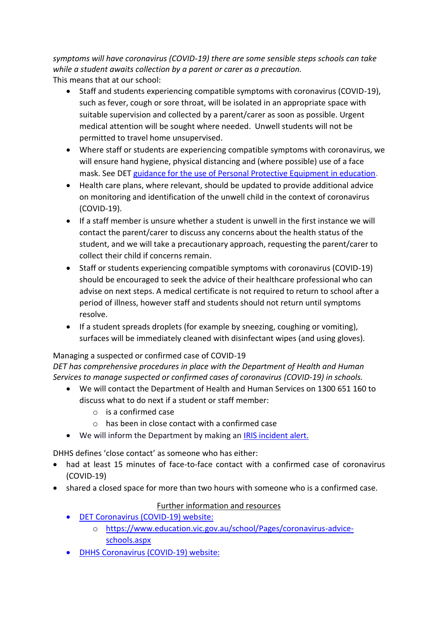*symptoms will have coronavirus (COVID-19) there are some sensible steps schools can take while a student awaits collection by a parent or carer as a precaution.*  This means that at our school:

- Staff and students experiencing compatible symptoms with coronavirus (COVID-19), such as fever, cough or sore throat, will be isolated in an appropriate space with suitable supervision and collected by a parent/carer as soon as possible. Urgent medical attention will be sought where needed. Unwell students will not be permitted to travel home unsupervised.
- Where staff or students are experiencing compatible symptoms with coronavirus, we will ensure hand hygiene, physical distancing and (where possible) use of a face mask. See DET [guidance for the use of Personal Protective Equipment in education.](https://edugate.eduweb.vic.gov.au/sites/i/_layouts/15/WopiFrame.aspx?sourcedoc=/sites/i/Shared%20Documents/Guidance-for-the-use-of-PPE-in-education-settings.docx&action=default)
- Health care plans, where relevant, should be updated to provide additional advice on monitoring and identification of the unwell child in the context of coronavirus (COVID-19).
- If a staff member is unsure whether a student is unwell in the first instance we will contact the parent/carer to discuss any concerns about the health status of the student, and we will take a precautionary approach, requesting the parent/carer to collect their child if concerns remain.
- Staff or students experiencing compatible symptoms with coronavirus (COVID-19) should be encouraged to seek the advice of their healthcare professional who can advise on next steps. A medical certificate is not required to return to school after a period of illness, however staff and students should not return until symptoms resolve.
- If a student spreads droplets (for example by sneezing, coughing or vomiting), surfaces will be immediately cleaned with disinfectant wipes (and using gloves).

# Managing a suspected or confirmed case of COVID-19

*DET has comprehensive procedures in place with the Department of Health and Human Services to manage suspected or confirmed cases of coronavirus (COVID-19) in schools.* 

- We will contact the Department of Health and Human Services on 1300 651 160 to discuss what to do next if a student or staff member:
	- o is a confirmed case
	- o has been in close contact with a confirmed case
- We will inform the Department by making an [IRIS incident alert.](https://www.eduweb.vic.gov.au/iris/ctrESMMain.asp)

DHHS defines 'close contact' as someone who has either:

- had at least 15 minutes of face-to-face contact with a confirmed case of coronavirus (COVID-19)
- shared a closed space for more than two hours with someone who is a confirmed case.

# Further information and resources

- [DET Coronavirus \(COVID-19\) website:](https://education.vic.gov.au/about/department/Pages/coronavirus.aspx)
	- o [https://www.education.vic.gov.au/school/Pages/coronavirus-advice](https://www.education.vic.gov.au/school/Pages/coronavirus-advice-schools.aspx)[schools.aspx](https://www.education.vic.gov.au/school/Pages/coronavirus-advice-schools.aspx)
- [DHHS Coronavirus \(COVID-19\) website:](https://www.dhhs.vic.gov.au/coronavirus)